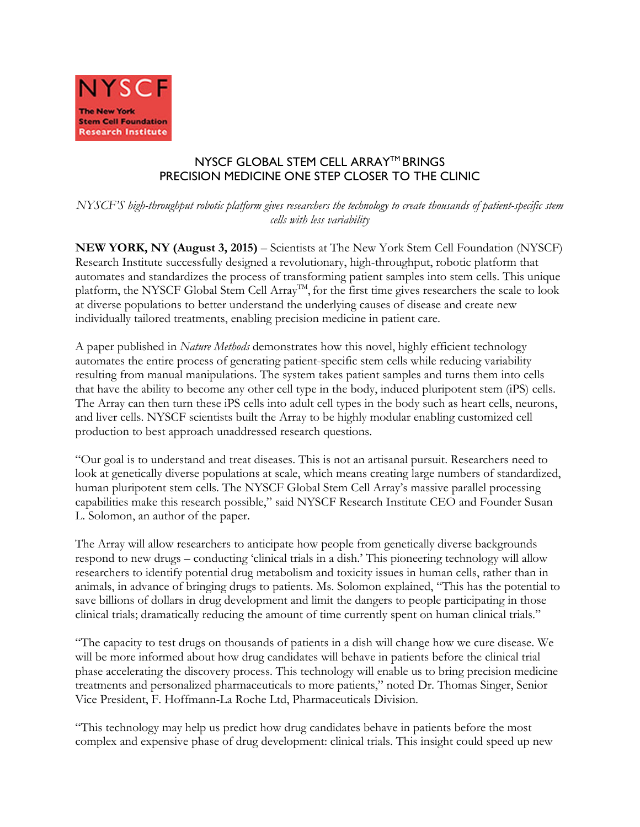

## NYSCF GLOBAL STEM CELL ARRAY™ BRINGS PRECISION MEDICINE ONE STEP CLOSER TO THE CLINIC

*NYSCF'S high-throughput robotic platform gives researchers the technology to create thousands of patient-specific stem cells with less variability*

**NEW YORK, NY (August 3, 2015)** – Scientists at The New York Stem Cell Foundation (NYSCF) Research Institute successfully designed a revolutionary, high-throughput, robotic platform that automates and standardizes the process of transforming patient samples into stem cells. This unique platform, the NYSCF Global Stem Cell Array<sup>TM</sup>, for the first time gives researchers the scale to look at diverse populations to better understand the underlying causes of disease and create new individually tailored treatments, enabling precision medicine in patient care.

A paper published in *Nature Methods* demonstrates how this novel, highly efficient technology automates the entire process of generating patient-specific stem cells while reducing variability resulting from manual manipulations. The system takes patient samples and turns them into cells that have the ability to become any other cell type in the body, induced pluripotent stem (iPS) cells. The Array can then turn these iPS cells into adult cell types in the body such as heart cells, neurons, and liver cells. NYSCF scientists built the Array to be highly modular enabling customized cell production to best approach unaddressed research questions.

"Our goal is to understand and treat diseases. This is not an artisanal pursuit. Researchers need to look at genetically diverse populations at scale, which means creating large numbers of standardized, human pluripotent stem cells. The NYSCF Global Stem Cell Array's massive parallel processing capabilities make this research possible," said NYSCF Research Institute CEO and Founder Susan L. Solomon, an author of the paper.

The Array will allow researchers to anticipate how people from genetically diverse backgrounds respond to new drugs – conducting 'clinical trials in a dish.' This pioneering technology will allow researchers to identify potential drug metabolism and toxicity issues in human cells, rather than in animals, in advance of bringing drugs to patients. Ms. Solomon explained, "This has the potential to save billions of dollars in drug development and limit the dangers to people participating in those clinical trials; dramatically reducing the amount of time currently spent on human clinical trials."

"The capacity to test drugs on thousands of patients in a dish will change how we cure disease. We will be more informed about how drug candidates will behave in patients before the clinical trial phase accelerating the discovery process. This technology will enable us to bring precision medicine treatments and personalized pharmaceuticals to more patients," noted Dr. Thomas Singer, Senior Vice President, F. Hoffmann-La Roche Ltd, Pharmaceuticals Division.

"This technology may help us predict how drug candidates behave in patients before the most complex and expensive phase of drug development: clinical trials. This insight could speed up new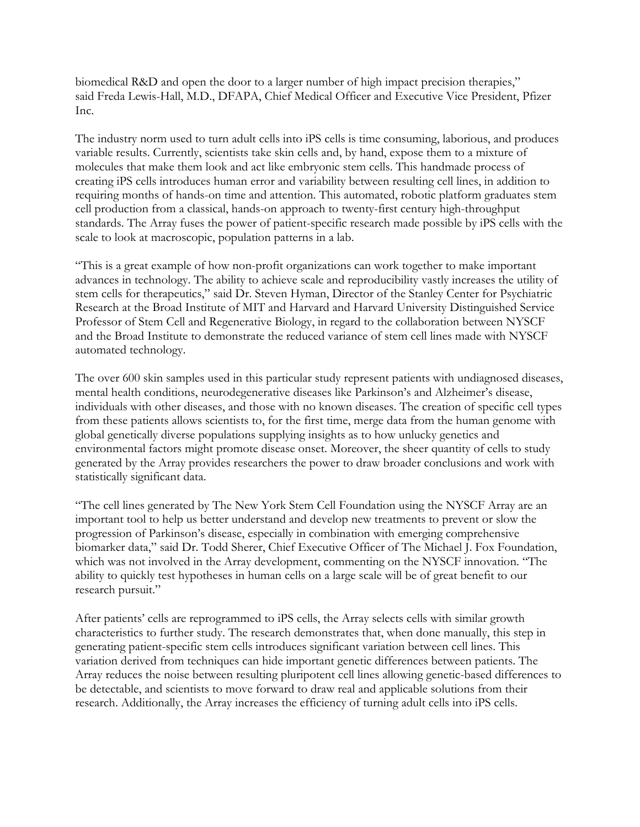biomedical R&D and open the door to a larger number of high impact precision therapies," said Freda Lewis-Hall, M.D., DFAPA, Chief Medical Officer and Executive Vice President, Pfizer Inc.

The industry norm used to turn adult cells into iPS cells is time consuming, laborious, and produces variable results. Currently, scientists take skin cells and, by hand, expose them to a mixture of molecules that make them look and act like embryonic stem cells. This handmade process of creating iPS cells introduces human error and variability between resulting cell lines, in addition to requiring months of hands-on time and attention. This automated, robotic platform graduates stem cell production from a classical, hands-on approach to twenty-first century high-throughput standards. The Array fuses the power of patient-specific research made possible by iPS cells with the scale to look at macroscopic, population patterns in a lab.

"This is a great example of how non-profit organizations can work together to make important advances in technology. The ability to achieve scale and reproducibility vastly increases the utility of stem cells for therapeutics," said Dr. Steven Hyman, Director of the Stanley Center for Psychiatric Research at the Broad Institute of MIT and Harvard and Harvard University Distinguished Service Professor of Stem Cell and Regenerative Biology, in regard to the collaboration between NYSCF and the Broad Institute to demonstrate the reduced variance of stem cell lines made with NYSCF automated technology.

The over 600 skin samples used in this particular study represent patients with undiagnosed diseases, mental health conditions, neurodegenerative diseases like Parkinson's and Alzheimer's disease, individuals with other diseases, and those with no known diseases. The creation of specific cell types from these patients allows scientists to, for the first time, merge data from the human genome with global genetically diverse populations supplying insights as to how unlucky genetics and environmental factors might promote disease onset. Moreover, the sheer quantity of cells to study generated by the Array provides researchers the power to draw broader conclusions and work with statistically significant data.

"The cell lines generated by The New York Stem Cell Foundation using the NYSCF Array are an important tool to help us better understand and develop new treatments to prevent or slow the progression of Parkinson's disease, especially in combination with emerging comprehensive biomarker data," said Dr. Todd Sherer, Chief Executive Officer of The Michael J. Fox Foundation, which was not involved in the Array development, commenting on the NYSCF innovation. "The ability to quickly test hypotheses in human cells on a large scale will be of great benefit to our research pursuit."

After patients' cells are reprogrammed to iPS cells, the Array selects cells with similar growth characteristics to further study. The research demonstrates that, when done manually, this step in generating patient-specific stem cells introduces significant variation between cell lines. This variation derived from techniques can hide important genetic differences between patients. The Array reduces the noise between resulting pluripotent cell lines allowing genetic-based differences to be detectable, and scientists to move forward to draw real and applicable solutions from their research. Additionally, the Array increases the efficiency of turning adult cells into iPS cells.